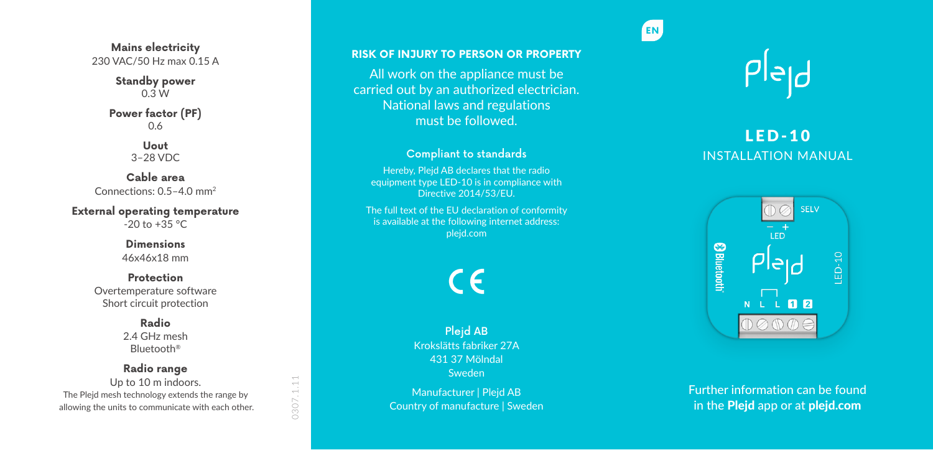**Mains electricity** 230 VAC/50 Hz max 0.15 A

> **Standby power**  $0.3W$

**Power factor (PF)** 0.6

> **Uout** 3–28 VDC

**Cable area** Connections: 0.5–4.0 mm 2

**External operating temperature**  $-20$  to  $+35$  °C

> **Dimensions** 46x46x18 mm

**Protection** Overtemperature software Short circuit protection

> **Radio** 2.4 GHz mesh Bluetooth ®

**Radio range** Up to 10 m indoors.

 $\sim$ ÷  $\overline{\phantom{a}}$ 0307.

The Plejd mesh technology extends the range by allowing the units to communicate with each other. **RISK OF INJURY TO PERSON OR PROPERTY**

All work on the appliance must be carried out by an authorized electrician. National laws and regulations must be followed.

## Compliant to standards

Hereby, Plejd AB declares that the radio equipment type LED-10 is in compliance with Directive 2014/53/EU.

The full text of the EU declaration of conformity is available at the following internet address: plejd.com

C E

Plejd AB Krokslätts fabriker 27A 431 37 Mölndal Sweden Manufacturer | Plejd AB

Country of manufacture | Sweden



**EN**

# LED-10 INSTALLATION MANUAL



Further information can be found in the Plejd app or at plejd.com